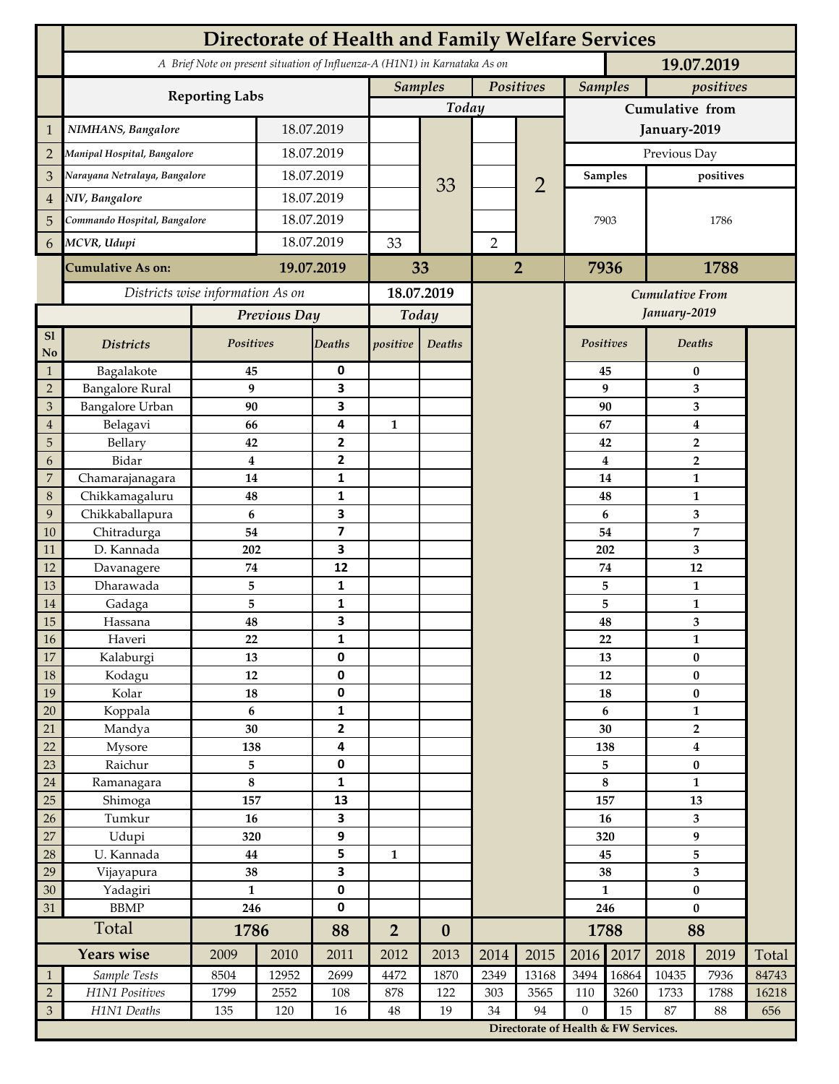|                                       | <b>Directorate of Health and Family Welfare Services</b> |                                                                            |            |                              |                             |                  |                |                                      |                             |           |                            |                                |       |  |
|---------------------------------------|----------------------------------------------------------|----------------------------------------------------------------------------|------------|------------------------------|-----------------------------|------------------|----------------|--------------------------------------|-----------------------------|-----------|----------------------------|--------------------------------|-------|--|
|                                       |                                                          | A Brief Note on present situation of Influenza-A (H1N1) in Karnataka As on |            |                              |                             | 19.07.2019       |                |                                      |                             |           |                            |                                |       |  |
|                                       | <b>Reporting Labs</b>                                    |                                                                            |            |                              | Positives<br><b>Samples</b> |                  |                |                                      | <b>Samples</b><br>positives |           |                            |                                |       |  |
|                                       |                                                          |                                                                            |            |                              | Today                       |                  |                | Cumulative from                      |                             |           |                            |                                |       |  |
| $\mathbf{1}$                          | NIMHANS, Bangalore                                       | 18.07.2019                                                                 |            |                              |                             |                  |                | January-2019                         |                             |           |                            |                                |       |  |
| $\overline{2}$                        | Manipal Hospital, Bangalore                              |                                                                            | 18.07.2019 |                              |                             |                  |                |                                      | Previous Day                |           |                            |                                |       |  |
| 3                                     | Narayana Netralaya, Bangalore                            |                                                                            | 18.07.2019 |                              |                             |                  |                |                                      | <b>Samples</b>              |           | positives                  |                                |       |  |
| $\overline{4}$                        | NIV, Bangalore                                           |                                                                            | 18.07.2019 |                              |                             | 33               |                | $\overline{2}$                       |                             |           |                            |                                |       |  |
| 5                                     | Commando Hospital, Bangalore                             |                                                                            | 18.07.2019 |                              |                             |                  |                |                                      | 7903                        |           | 1786                       |                                |       |  |
| 6                                     | MCVR, Udupi                                              |                                                                            | 18.07.2019 |                              | 33                          |                  | $\overline{2}$ |                                      |                             |           |                            |                                |       |  |
|                                       |                                                          |                                                                            |            |                              |                             |                  |                |                                      |                             |           |                            |                                |       |  |
|                                       | <b>Cumulative As on:</b>                                 | 19.07.2019                                                                 |            | 33                           |                             | $\overline{2}$   |                | 7936<br>1788                         |                             |           |                            |                                |       |  |
|                                       | Districts wise information As on                         |                                                                            |            | 18.07.2019                   |                             |                  |                | Cumulative From                      |                             |           |                            |                                |       |  |
|                                       |                                                          | Previous Day                                                               |            | Today                        |                             |                  |                |                                      |                             |           | January-2019               |                                |       |  |
| S1<br>No                              | <b>Districts</b>                                         | Positives                                                                  |            | <b>Deaths</b>                | positive                    | Deaths           |                |                                      |                             | Positives |                            | Deaths                         |       |  |
| $\mathbf{1}$                          | Bagalakote                                               | 45                                                                         |            | 0                            |                             |                  |                |                                      |                             | 45        | $\bf{0}$                   |                                |       |  |
| $\sqrt{2}$                            | <b>Bangalore Rural</b>                                   | 9                                                                          |            | 3                            |                             |                  |                |                                      |                             | 9         | 3                          |                                |       |  |
| $\mathfrak{Z}$                        | Bangalore Urban                                          | 90                                                                         |            | 3<br>4                       |                             |                  |                |                                      |                             | 90<br>67  | 3                          |                                |       |  |
| $\overline{\mathbf{4}}$<br>$\sqrt{5}$ | Belagavi<br>Bellary                                      | 66<br>42                                                                   |            | $\mathbf 2$                  | $\mathbf{1}$                |                  |                |                                      |                             | 42        | $\bf{4}$<br>$\overline{2}$ |                                |       |  |
| 6                                     | Bidar                                                    | $\overline{\mathbf{4}}$                                                    |            | $\mathbf{2}$                 |                             |                  |                |                                      |                             | 4         | $\overline{2}$             |                                |       |  |
| $\boldsymbol{7}$                      | Chamarajanagara                                          | 14                                                                         |            | $\mathbf{1}$                 |                             |                  |                |                                      |                             | 14        |                            | $\mathbf{1}$                   |       |  |
| $\,8\,$                               | Chikkamagaluru                                           | 48                                                                         |            | 1                            |                             |                  |                |                                      |                             | 48        |                            | $\mathbf{1}$                   |       |  |
| 9                                     | Chikkaballapura                                          | 6                                                                          |            | $\overline{\mathbf{3}}$      |                             |                  |                |                                      |                             | 6         | 3                          |                                |       |  |
| 10                                    | Chitradurga                                              | 54                                                                         |            | $\overline{\mathbf{z}}$      |                             |                  |                |                                      |                             | 54        |                            | $\overline{7}$                 |       |  |
| 11                                    | D. Kannada                                               | 202                                                                        |            | 3                            |                             |                  |                |                                      |                             | 202<br>74 |                            | 3<br>12                        |       |  |
| 12<br>13                              | Davanagere<br>Dharawada                                  | 74<br>5                                                                    |            | 12<br>1                      |                             |                  |                |                                      |                             | 5         |                            | $\mathbf{1}$                   |       |  |
| 14                                    | Gadaga                                                   | 5                                                                          |            | 1                            |                             |                  |                |                                      |                             | 5         |                            | $\mathbf{1}$                   |       |  |
| 15                                    | Hassana                                                  | 48                                                                         |            | 3                            |                             |                  |                |                                      |                             | 48        | 3                          |                                |       |  |
| 16                                    | Haveri                                                   | 22                                                                         |            | 1                            |                             |                  |                |                                      | 22                          |           | $\mathbf{1}$               |                                |       |  |
| 17                                    | Kalaburgi                                                | 13                                                                         |            | 0                            |                             |                  |                |                                      | 13                          |           | $\bf{0}$                   |                                |       |  |
| 18                                    | Kodagu                                                   | 12                                                                         |            | 0                            |                             |                  |                |                                      | 12                          |           | $\bf{0}$                   |                                |       |  |
| 19                                    | Kolar                                                    | 18                                                                         |            | 0                            |                             |                  |                |                                      | 18                          |           | $\pmb{0}$                  |                                |       |  |
| $20\,$                                | Koppala                                                  | 6<br>30                                                                    |            | $\mathbf{1}$                 |                             |                  |                |                                      |                             | 6<br>30   |                            | $\mathbf{1}$<br>$\overline{2}$ |       |  |
| 21<br>22                              | Mandya<br>Mysore                                         | 138                                                                        |            | $\mathbf{2}$<br>4            |                             |                  |                |                                      |                             | 138       | $\overline{\mathbf{4}}$    |                                |       |  |
| 23                                    | Raichur                                                  | 5                                                                          |            | 0                            |                             |                  |                |                                      |                             | 5         |                            | $\bf{0}$                       |       |  |
| 24                                    | Ramanagara                                               | 8                                                                          |            | $\mathbf{1}$                 |                             |                  |                |                                      |                             | $\bf 8$   |                            | $\mathbf{1}$                   |       |  |
| 25                                    | Shimoga                                                  | 157                                                                        |            | 13                           |                             |                  |                |                                      | 157                         |           | 13                         |                                |       |  |
| 26                                    | Tumkur                                                   | 16                                                                         |            | 3                            |                             |                  |                |                                      | 16                          |           | $\overline{\mathbf{3}}$    |                                |       |  |
| 27                                    | Udupi                                                    | 320                                                                        |            | 9                            |                             |                  |                |                                      | 320                         |           | 9                          |                                |       |  |
| 28                                    | U. Kannada                                               | 44                                                                         |            | 5                            | $\mathbf{1}$                |                  |                |                                      | 45                          |           | 5                          |                                |       |  |
| 29                                    | Vijayapura                                               | 38<br>$\mathbf{1}$                                                         |            | $\overline{\mathbf{3}}$<br>0 |                             |                  |                |                                      | 38                          |           | $\overline{\mathbf{3}}$    |                                |       |  |
| 30<br>31                              | Yadagiri<br><b>BBMP</b><br>246                           |                                                                            | 0          |                              |                             |                  |                |                                      | $\mathbf{1}$<br>246         |           | $\pmb{0}$<br>$\bf{0}$      |                                |       |  |
|                                       | Total                                                    | 1786                                                                       |            | 88                           | $\overline{2}$              | $\boldsymbol{0}$ |                |                                      | 1788                        |           | 88                         |                                |       |  |
|                                       | Years wise                                               | 2009                                                                       | 2010       | 2011                         | 2012                        | 2013             | 2014           | 2015                                 | 2016                        | 2017      | 2018                       | 2019                           | Total |  |
| $\mathbf{1}$                          | Sample Tests                                             | 8504                                                                       | 12952      | 2699                         | 4472                        | 1870             | 2349           | 13168                                | 3494                        | 16864     | 10435                      | 7936                           | 84743 |  |
| $\overline{2}$                        | H1N1 Positives                                           | 1799                                                                       | 2552       | 108                          | 878                         | 122              | 303            | 3565                                 | 110                         | 3260      | 1733                       | 1788                           | 16218 |  |
| $\mathfrak{Z}$                        | H1N1 Deaths                                              | 135                                                                        | 120        | $16\,$                       | $\rm 48$                    | 19               | 34             | 94                                   | $\mathbf{0}$                | 15        | 87                         | 88                             | 656   |  |
|                                       |                                                          |                                                                            |            |                              |                             |                  |                | Directorate of Health & FW Services. |                             |           |                            |                                |       |  |